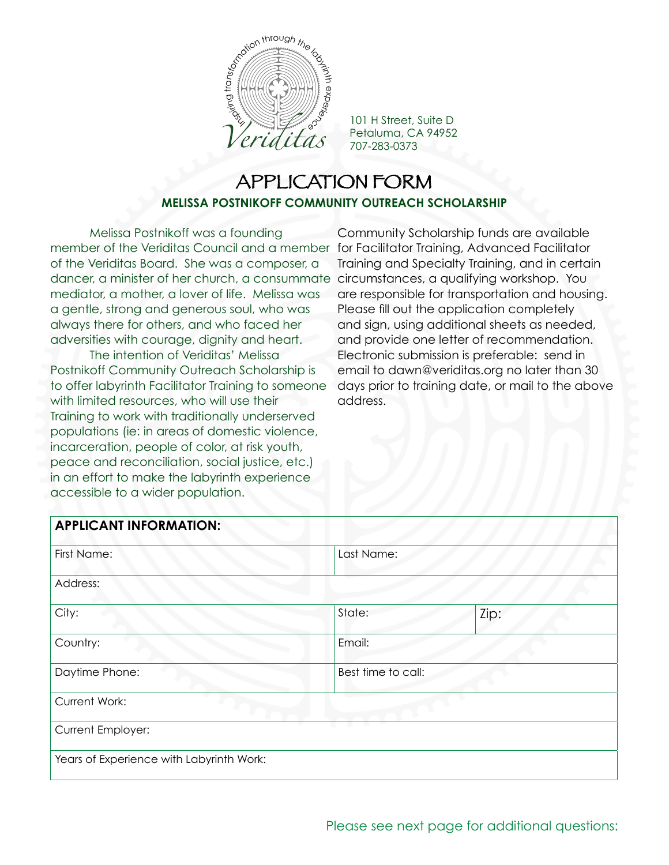

101 H Street, Suite D Petaluma, CA 94952 707-283-0373

## APPLICATION FORM **MELISSA POSTNIKOFF COMMUNITY OUTREACH SCHOLARSHIP**

Melissa Postnikoff was a founding member of the Veriditas Council and a member for Facilitator Training, Advanced Facilitator of the Veriditas Board. She was a composer, a dancer, a minister of her church, a consummate circumstances, a qualifying workshop. You mediator, a mother, a lover of life. Melissa was a gentle, strong and generous soul, who was always there for others, and who faced her adversities with courage, dignity and heart.

The intention of Veriditas' Melissa Postnikoff Community Outreach Scholarship is to offer labyrinth Facilitator Training to someone with limited resources, who will use their Training to work with traditionally underserved populations (ie: in areas of domestic violence, incarceration, people of color, at risk youth, peace and reconciliation, social justice, etc.) in an effort to make the labyrinth experience accessible to a wider population.

Community Scholarship funds are available Training and Specialty Training, and in certain are responsible for transportation and housing. Please fill out the application completely and sign, using additional sheets as needed, and provide one letter of recommendation. Electronic submission is preferable: send in email to dawn@veriditas.org no later than 30 days prior to training date, or mail to the above address.

## **APPLICANT INFORMATION:**

| First Name:                              | Last Name: |                    |  |
|------------------------------------------|------------|--------------------|--|
| Address:                                 |            |                    |  |
| City:                                    | State:     | Zip:               |  |
| Country:                                 | Email:     |                    |  |
| Daytime Phone:                           |            | Best time to call: |  |
| Current Work:                            |            |                    |  |
| <b>Current Employer:</b>                 |            |                    |  |
| Years of Experience with Labyrinth Work: |            |                    |  |